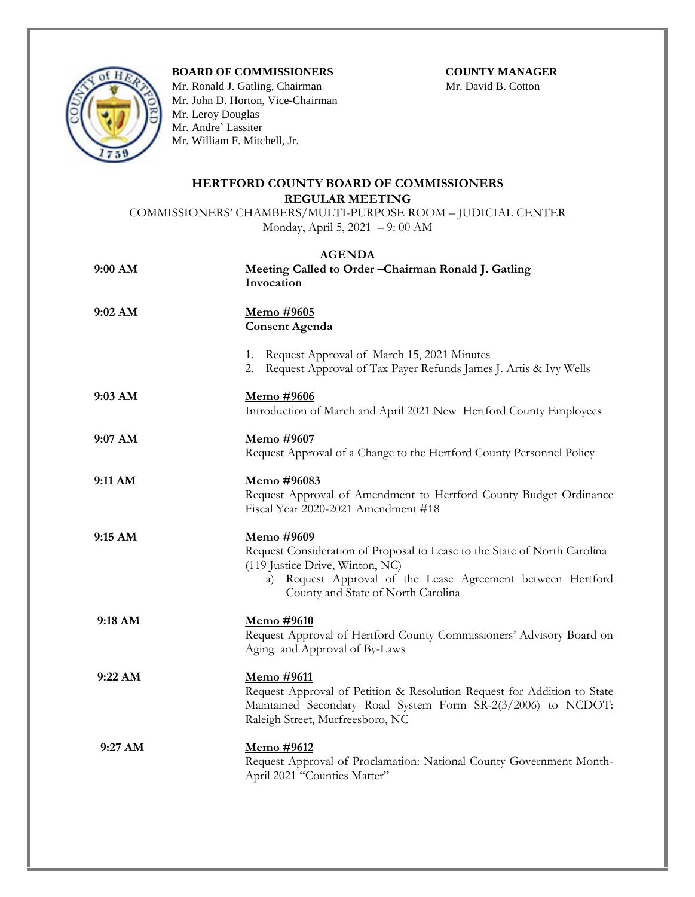## **BOARD OF COMMISSIONERS COUNTY MANAGER**



Mr. Ronald J. Gatling, ChairmanMr. David B. Cotton Mr. John D. Horton, Vice-Chairman Mr. Leroy Douglas Mr. Andre` Lassiter Mr. William F. Mitchell, Jr.

## **HERTFORD COUNTY BOARD OF COMMISSIONERS REGULAR MEETING**

COMMISSIONERS' CHAMBERS/MULTI-PURPOSE ROOM – JUDICIAL CENTER Monday, April 5, 2021 – 9: 00 AM

## **AGENDA**

| 9:00 AM           | Meeting Called to Order-Chairman Ronald J. Gatling<br>Invocation                                                                                                                                                                          |
|-------------------|-------------------------------------------------------------------------------------------------------------------------------------------------------------------------------------------------------------------------------------------|
| 9:02 AM           | <u>Memo #9605</u><br><b>Consent Agenda</b>                                                                                                                                                                                                |
|                   | 1. Request Approval of March 15, 2021 Minutes<br>2. Request Approval of Tax Payer Refunds James J. Artis & Ivy Wells                                                                                                                      |
| $9:03$ AM         | Memo #9606<br>Introduction of March and April 2021 New Hertford County Employees                                                                                                                                                          |
| 9:07 AM           | Memo #9607<br>Request Approval of a Change to the Hertford County Personnel Policy                                                                                                                                                        |
| 9:11 AM           | Memo #96083<br>Request Approval of Amendment to Hertford County Budget Ordinance<br>Fiscal Year 2020-2021 Amendment #18                                                                                                                   |
| 9:15 AM           | <u>Memo #9609</u><br>Request Consideration of Proposal to Lease to the State of North Carolina<br>(119 Justice Drive, Winton, NC)<br>Request Approval of the Lease Agreement between Hertford<br>a)<br>County and State of North Carolina |
| 9:18 AM           | Memo #9610<br>Request Approval of Hertford County Commissioners' Advisory Board on<br>Aging and Approval of By-Laws                                                                                                                       |
| 9:22 AM           | Memo #9611<br>Request Approval of Petition & Resolution Request for Addition to State<br>Maintained Secondary Road System Form SR-2(3/2006) to NCDOT:<br>Raleigh Street, Murfreesboro, NC                                                 |
| $9:27 \text{ AM}$ | Memo #9612<br>Request Approval of Proclamation: National County Government Month-<br>April 2021 "Counties Matter"                                                                                                                         |